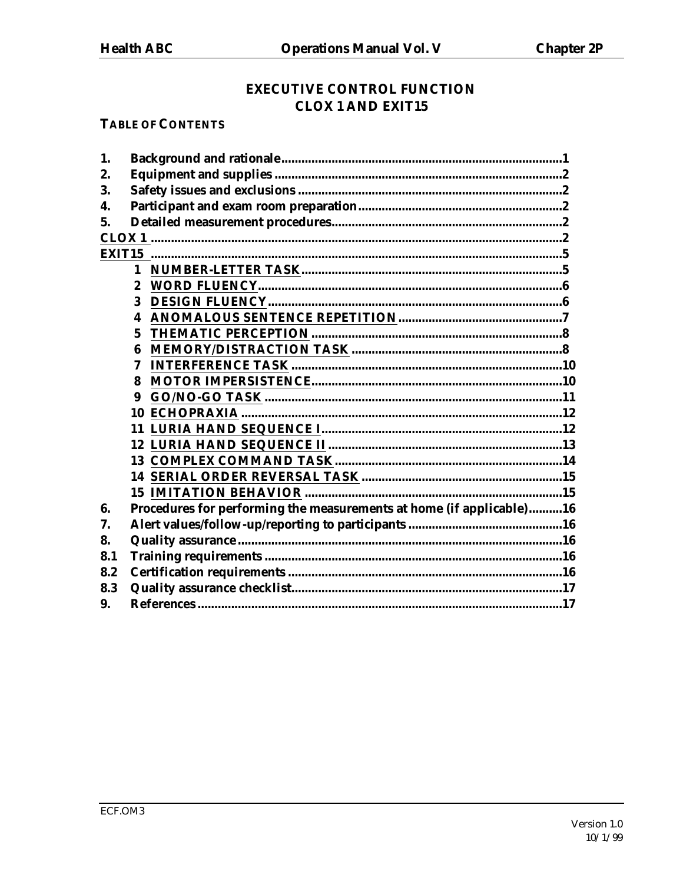## **EXECUTIVE CONTROL FUNCTION CLOX 1 AND EXIT15**

## **TABLE OF CONTENTS**

| 1.  |                                                                      |  |  |
|-----|----------------------------------------------------------------------|--|--|
| 2.  |                                                                      |  |  |
| 3.  |                                                                      |  |  |
| 4.  |                                                                      |  |  |
| 5.  |                                                                      |  |  |
|     |                                                                      |  |  |
|     |                                                                      |  |  |
|     |                                                                      |  |  |
|     | $\boldsymbol{2}$                                                     |  |  |
|     | 3                                                                    |  |  |
|     | 4                                                                    |  |  |
|     | 5                                                                    |  |  |
|     | 6                                                                    |  |  |
|     | 7                                                                    |  |  |
|     | 8                                                                    |  |  |
|     | 9                                                                    |  |  |
|     |                                                                      |  |  |
|     |                                                                      |  |  |
|     |                                                                      |  |  |
|     |                                                                      |  |  |
|     |                                                                      |  |  |
|     |                                                                      |  |  |
| 6.  | Procedures for performing the measurements at home (if applicable)16 |  |  |
| 7.  |                                                                      |  |  |
| 8.  |                                                                      |  |  |
| 8.1 |                                                                      |  |  |
| 8.2 |                                                                      |  |  |
| 8.3 |                                                                      |  |  |
| 9.  |                                                                      |  |  |
|     |                                                                      |  |  |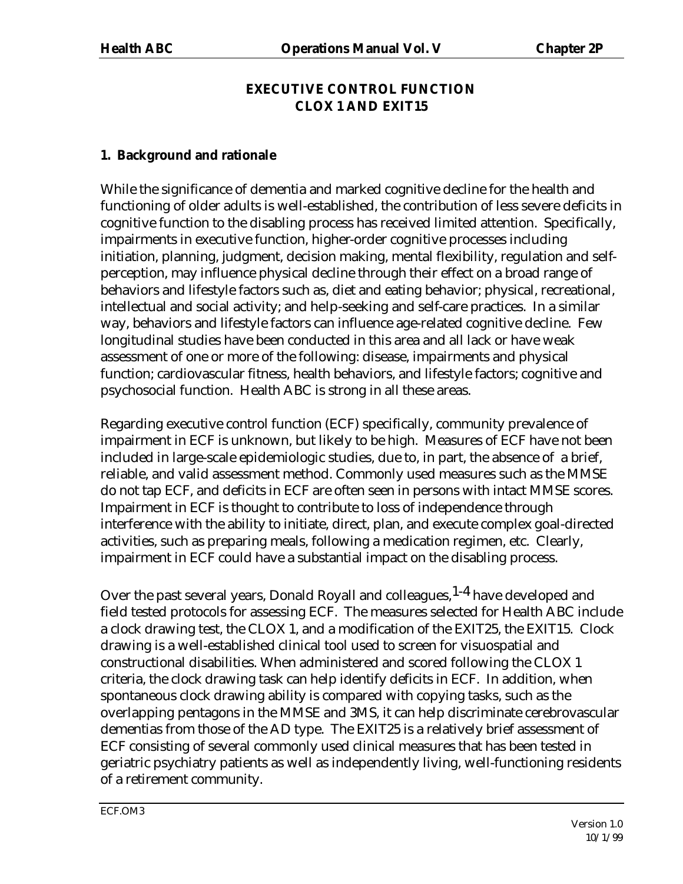## **EXECUTIVE CONTROL FUNCTION CLOX 1 AND EXIT15**

#### **1. Background and rationale**

While the significance of dementia and marked cognitive decline for the health and functioning of older adults is well-established, the contribution of less severe deficits in cognitive function to the disabling process has received limited attention. Specifically, impairments in executive function, higher-order cognitive processes including initiation, planning, judgment, decision making, mental flexibility, regulation and selfperception, may influence physical decline through their effect on a broad range of behaviors and lifestyle factors such as, diet and eating behavior; physical, recreational, intellectual and social activity; and help-seeking and self-care practices. In a similar way, behaviors and lifestyle factors can influence age-related cognitive decline. Few longitudinal studies have been conducted in this area and all lack or have weak assessment of one or more of the following: disease, impairments and physical function; cardiovascular fitness, health behaviors, and lifestyle factors; cognitive and psychosocial function. Health ABC is strong in all these areas.

Regarding executive control function (ECF) specifically, community prevalence of impairment in ECF is unknown, but likely to be high. Measures of ECF have not been included in large-scale epidemiologic studies, due to, in part, the absence of a brief, reliable, and valid assessment method. Commonly used measures such as the MMSE do not tap ECF, and deficits in ECF are often seen in persons with intact MMSE scores. Impairment in ECF is thought to contribute to loss of independence through interference with the ability to initiate, direct, plan, and execute complex goal-directed activities, such as preparing meals, following a medication regimen, etc. Clearly, impairment in ECF could have a substantial impact on the disabling process.

Over the past several years, Donald Royall and colleagues, <sup>1-4</sup> have developed and field tested protocols for assessing ECF. The measures selected for Health ABC include a clock drawing test, the CLOX 1, and a modification of the EXIT25, the EXIT15. Clock drawing is a well-established clinical tool used to screen for visuospatial and constructional disabilities. When administered and scored following the CLOX 1 criteria, the clock drawing task can help identify deficits in ECF. In addition, when spontaneous clock drawing ability is compared with copying tasks, such as the overlapping pentagons in the MMSE and 3MS, it can help discriminate cerebrovascular dementias from those of the AD type. The EXIT25 is a relatively brief assessment of ECF consisting of several commonly used clinical measures that has been tested in geriatric psychiatry patients as well as independently living, well-functioning residents of a retirement community.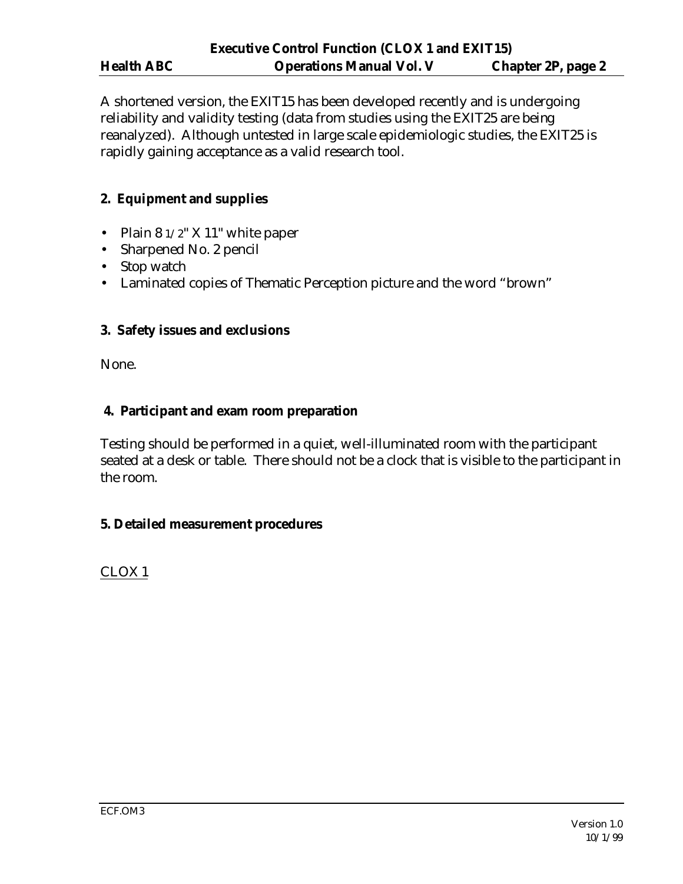A shortened version, the EXIT15 has been developed recently and is undergoing reliability and validity testing (data from studies using the EXIT25 are being reanalyzed). Although untested in large scale epidemiologic studies, the EXIT25 is rapidly gaining acceptance as a valid research tool.

## **2. Equipment and supplies**

- Plain  $81/2$ " X 11" white paper
- Sharpened No. 2 pencil
- Stop watch
- Laminated copies of Thematic Perception picture and the word "brown"

## **3. Safety issues and exclusions**

None.

## **4. Participant and exam room preparation**

Testing should be performed in a quiet, well-illuminated room with the participant seated at a desk or table. There should not be a clock that is visible to the participant in the room.

## **5. Detailed measurement procedures**

CLOX 1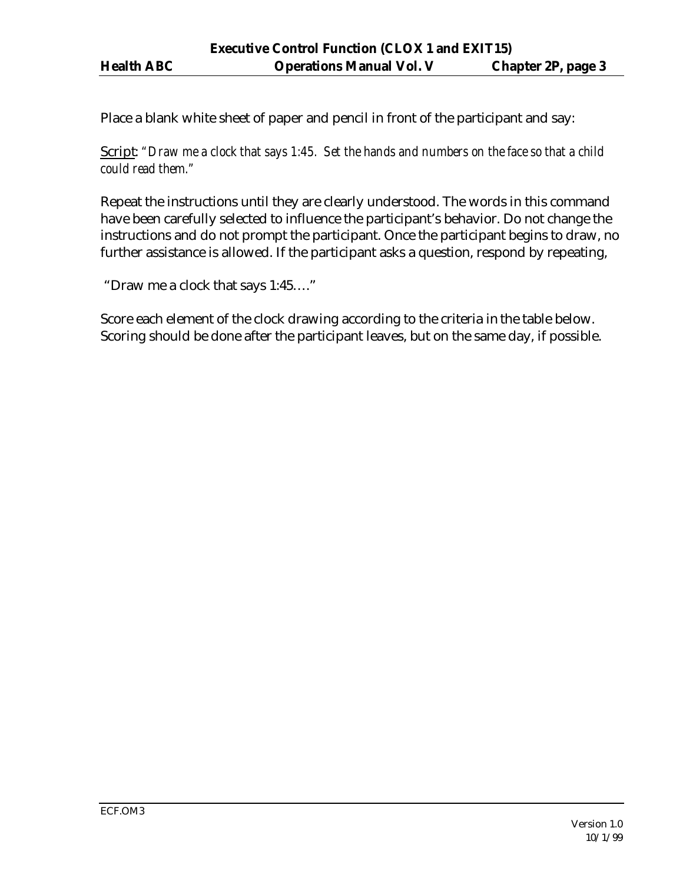Place a blank white sheet of paper and pencil in front of the participant and say:

Script: *"Draw me a clock that says 1:45. Set the hands and numbers on the face so that a child could read them."* 

Repeat the instructions until they are clearly understood. The words in this command have been carefully selected to influence the participant's behavior. Do not change the instructions and do not prompt the participant. Once the participant begins to draw, no further assistance is allowed. If the participant asks a question, respond by repeating,

"Draw me a clock that says 1:45…."

Score each element of the clock drawing according to the criteria in the table below. Scoring should be done after the participant leaves, but on the same day, if possible.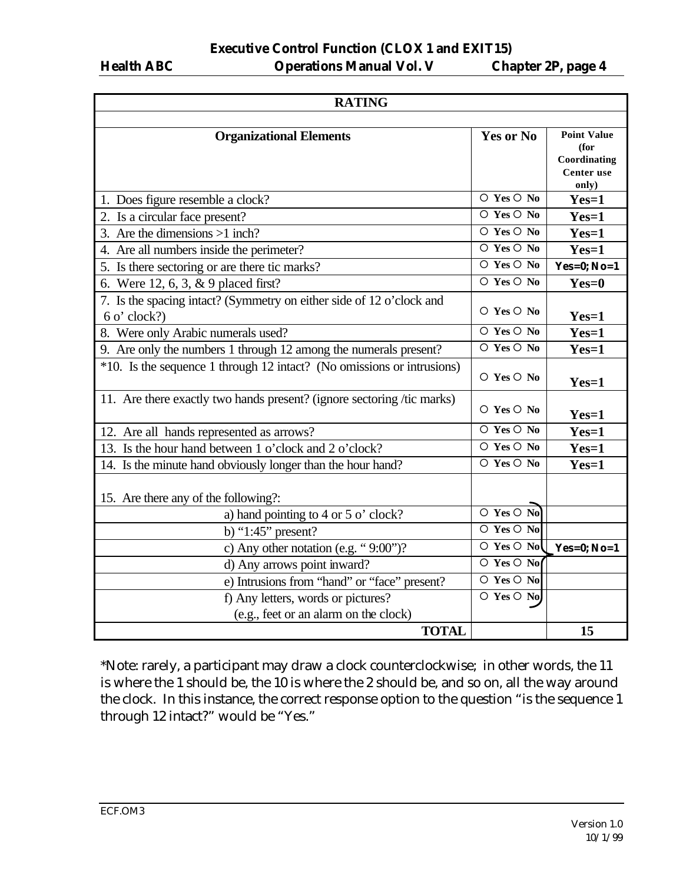**Executive Control Function (CLOX 1 and EXIT15) Health ABC Operations Manual Vol. V Chapter 2P, page 4**

| <b>RATING</b>                                                          |                                              |                            |  |  |
|------------------------------------------------------------------------|----------------------------------------------|----------------------------|--|--|
|                                                                        |                                              |                            |  |  |
| <b>Organizational Elements</b>                                         | <b>Yes or No</b>                             | <b>Point Value</b>         |  |  |
|                                                                        |                                              | (for                       |  |  |
|                                                                        |                                              | Coordinating<br>Center use |  |  |
|                                                                        |                                              | only)                      |  |  |
| 1. Does figure resemble a clock?                                       | $\circ$ Yes $\circ$ No                       | $Yes=1$                    |  |  |
| 2. Is a circular face present?                                         | $\circ$ Yes $\circ$ No                       | $Yes=1$                    |  |  |
| 3. Are the dimensions $>1$ inch?                                       | $\circ$ Yes $\circ$ No                       | $Yes=1$                    |  |  |
| 4. Are all numbers inside the perimeter?                               | $\circ$ Yes $\circ$ No                       | $Yes=1$                    |  |  |
| 5. Is there sectoring or are there tic marks?                          | $\overline{O$ Yes $\overline{O}$ No          | Yes=0; $No=1$              |  |  |
| 6. Were 12, 6, 3, & 9 placed first?                                    | $\circ$ Yes $\circ$ No                       | $Yes=0$                    |  |  |
| 7. Is the spacing intact? (Symmetry on either side of 12 o'clock and   |                                              |                            |  |  |
| $6 \text{ o'}$ clock?)                                                 | $\circ$ Yes $\circ$ No                       | $Yes=1$                    |  |  |
| 8. Were only Arabic numerals used?                                     | $\circ$ Yes $\circ$ No                       | $Yes=1$                    |  |  |
| 9. Are only the numbers 1 through 12 among the numerals present?       | $\circ$ Yes $\circ$ No                       | $Yes=1$                    |  |  |
| *10. Is the sequence 1 through 12 intact? (No omissions or intrusions) |                                              |                            |  |  |
|                                                                        | $\circ$ Yes $\circ$ No                       | $Yes=1$                    |  |  |
| 11. Are there exactly two hands present? (ignore sectoring /tic marks) |                                              |                            |  |  |
|                                                                        | $\circ$ Yes $\circ$ No                       | $Yes=1$                    |  |  |
| 12. Are all hands represented as arrows?                               | $\circ$ Yes $\circ$ No                       | $Yes=1$                    |  |  |
| 13. Is the hour hand between 1 o'clock and 2 o'clock?                  | $\overline{O$ Yes $\overline{O}$ No          | $Yes=1$                    |  |  |
| 14. Is the minute hand obviously longer than the hour hand?            | $\circ$ Yes $\circ$ No                       | $Yes=1$                    |  |  |
|                                                                        |                                              |                            |  |  |
| 15. Are there any of the following?:                                   |                                              |                            |  |  |
| a) hand pointing to 4 or 5 o' clock?                                   | $\overline{\circ}$ Yes $\overline{\circ}$ No |                            |  |  |
| b) " $1:45$ " present?                                                 | $\overline{O$ Yes $\overline{O}$ No          |                            |  |  |
| c) Any other notation (e.g. " $9:00$ ")?                               | $\circ$ Yes $\circ$ No                       | Yes=0; $No=1$              |  |  |
| d) Any arrows point inward?                                            | $\overline{O}$ Yes $\overline{O}$ No         |                            |  |  |
| e) Intrusions from "hand" or "face" present?                           | $\overline{O$ Yes $\overline{O}$ No          |                            |  |  |
| f) Any letters, words or pictures?                                     | O Yes O No                                   |                            |  |  |
| (e.g., feet or an alarm on the clock)                                  |                                              |                            |  |  |
| <b>TOTAL</b>                                                           |                                              | 15                         |  |  |

\*Note: rarely, a participant may draw a clock counterclockwise; in other words, the 11 is where the 1 should be, the 10 is where the 2 should be, and so on, all the way around the clock. In this instance, the correct response option to the question "is the sequence 1 through 12 intact?" would be "Yes."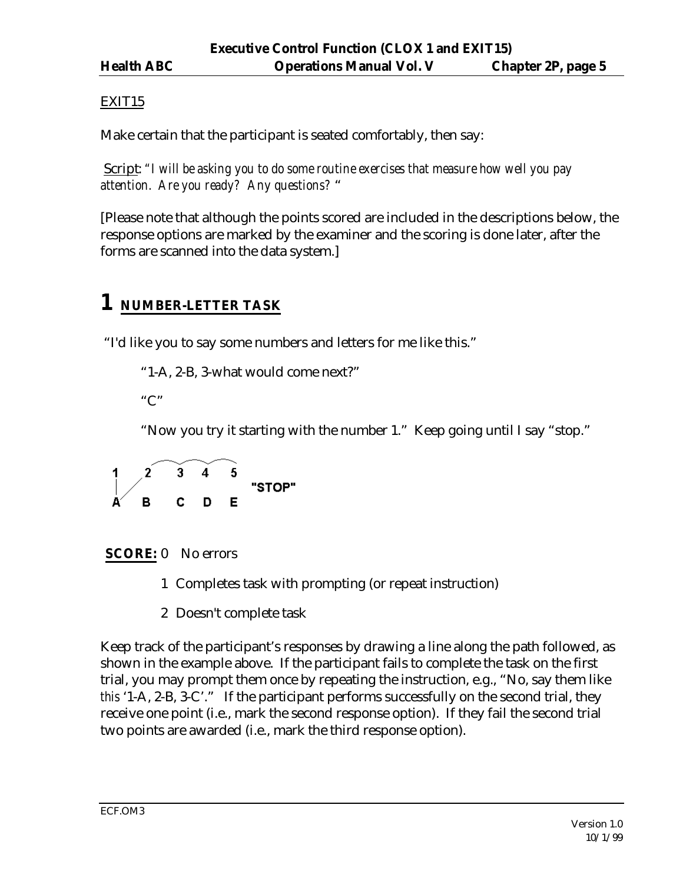## EXIT15

Make certain that the participant is seated comfortably, then say:

Script: *"I will be asking you to do some routine exercises that measure how well you pay attention. Are you ready? Any questions?* "

[Please note that although the points scored are included in the descriptions below, the response options are marked by the examiner and the scoring is done later, after the forms are scanned into the data system.]

## **1 NUMBER-LETTER TASK**

"I'd like you to say some numbers and letters for me like this."

```
"1-A, 2-B, 3-what would come next?"
```
" $C$ "

"Now you try it starting with the number 1." Keep going until I say "stop."

$$
\begin{array}{ccc}\n1 & 2 & 3 & 4 & 5 \\
\hline\nA & B & C & D & E\n\end{array}
$$
"STOP"

**SCORE:** 0 No errors

- 1 Completes task with prompting (or repeat instruction)
- 2 Doesn't complete task

Keep track of the participant's responses by drawing a line along the path followed, as shown in the example above. If the participant fails to complete the task on the first trial, you may prompt them once by repeating the instruction, e.g., "No, say them like *this* '1-A, 2-B, 3-C'." If the participant performs successfully on the second trial, they receive one point (i.e., mark the second response option). If they fail the second trial two points are awarded (i.e., mark the third response option).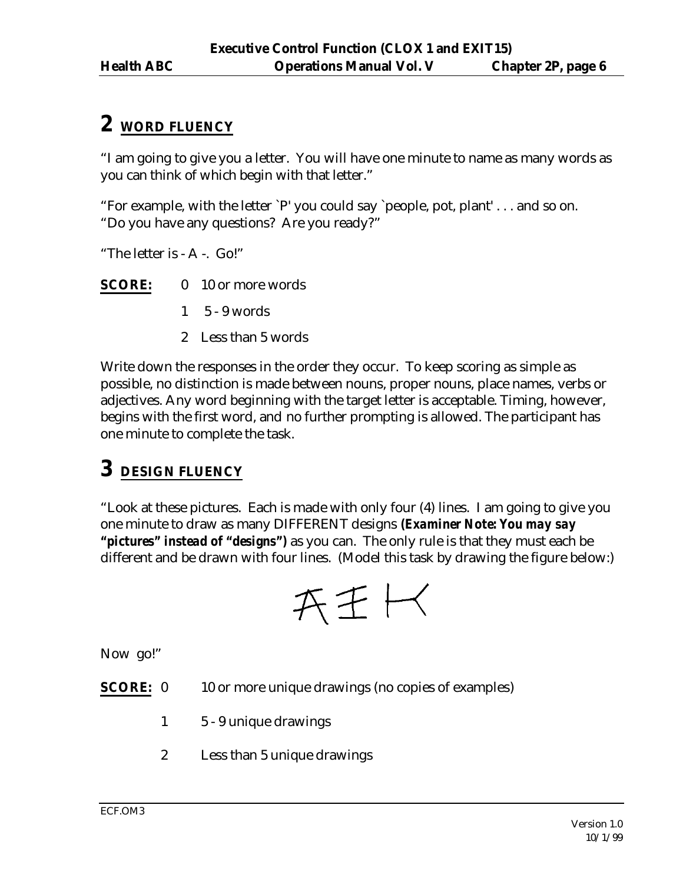## **2 WORD FLUENCY**

"I am going to give you a letter. You will have one minute to name as many words as you can think of which begin with that letter."

"For example, with the letter `P' you could say `people, pot, plant' . . . and so on. "Do you have any questions? Are you ready?"

"The letter is - A -. Go!"

**SCORE:** 0 10 or more words

- 1 5 9 words
- 2 Less than 5 words

Write down the responses in the order they occur. To keep scoring as simple as possible, no distinction is made between nouns, proper nouns, place names, verbs or adjectives. Any word beginning with the target letter is acceptable. Timing, however, begins with the first word, and no further prompting is allowed. The participant has one minute to complete the task.

## **3 DESIGN FLUENCY**

"Look at these pictures. Each is made with only four (4) lines. I am going to give you one minute to draw as many DIFFERENT designs *(Examiner Note: You may say "pictures" instead of "designs")* as you can. The only rule is that they must each be different and be drawn with four lines. (Model this task by drawing the figure below:)

$$
\mathop{\mathsf{A}\mathsf{E}}\nolimits\vdash\hspace{-4pt}\prec
$$

Now go!"

**SCORE:** 0 10 or more unique drawings (no copies of examples)

- 1 5 9 unique drawings
- 2 Less than 5 unique drawings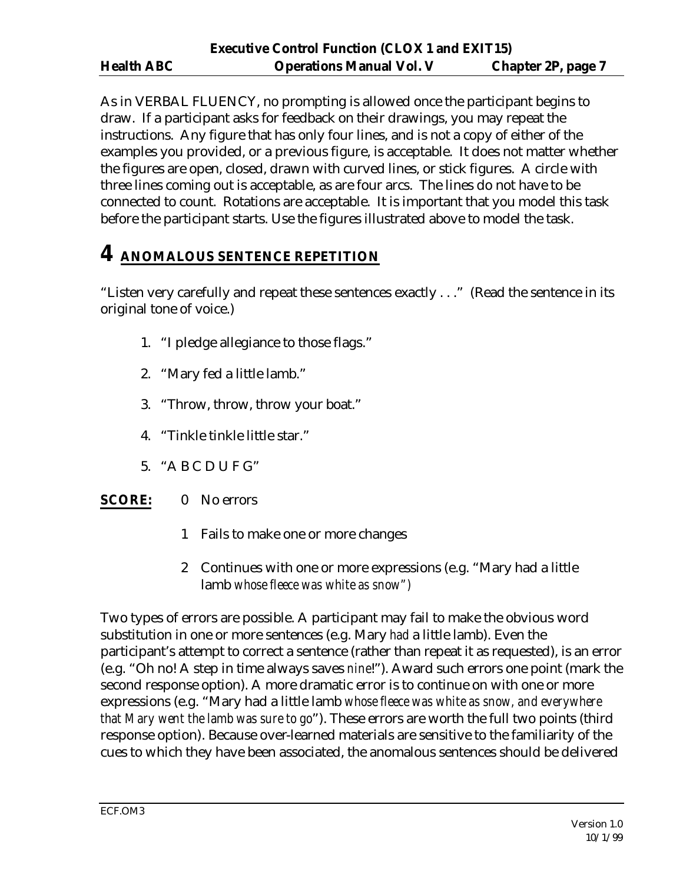As in VERBAL FLUENCY, no prompting is allowed once the participant begins to draw. If a participant asks for feedback on their drawings, you may repeat the instructions. Any figure that has only four lines, and is not a copy of either of the examples you provided, or a previous figure, is acceptable. It does not matter whether the figures are open, closed, drawn with curved lines, or stick figures. A circle with three lines coming out is acceptable, as are four arcs. The lines do not have to be connected to count. Rotations are acceptable. It is important that you model this task before the participant starts. Use the figures illustrated above to model the task.

## **4 ANOMALOUS SENTENCE REPETITION**

"Listen very carefully and repeat these sentences exactly . . ." (Read the sentence in its original tone of voice.)

- 1. "I pledge allegiance to those flags."
- 2. "Mary fed a little lamb."
- 3. "Throw, throw, throw your boat."
- 4. "Tinkle tinkle little star."
- 5. "A B C D U F G"

## **SCORE:** 0 No errors

- 1 Fails to make one or more changes
- 2 Continues with one or more expressions (e.g. "Mary had a little lamb *whose fleece was white as snow")*

Two types of errors are possible. A participant may fail to make the obvious word substitution in one or more sentences (e.g. Mary *had* a little lamb). Even the participant's attempt to correct a sentence (rather than repeat it as requested), is an error (e.g. "Oh no! A step in time always saves *nine*!"). Award such errors one point (mark the second response option). A more dramatic error is to continue on with one or more expressions (e.g. "Mary had a little lamb *whose fleece was white as snow, and everywhere that Mary went the lamb was sure to go*"). These errors are worth the full two points (third response option). Because over-learned materials are sensitive to the familiarity of the cues to which they have been associated, the anomalous sentences should be delivered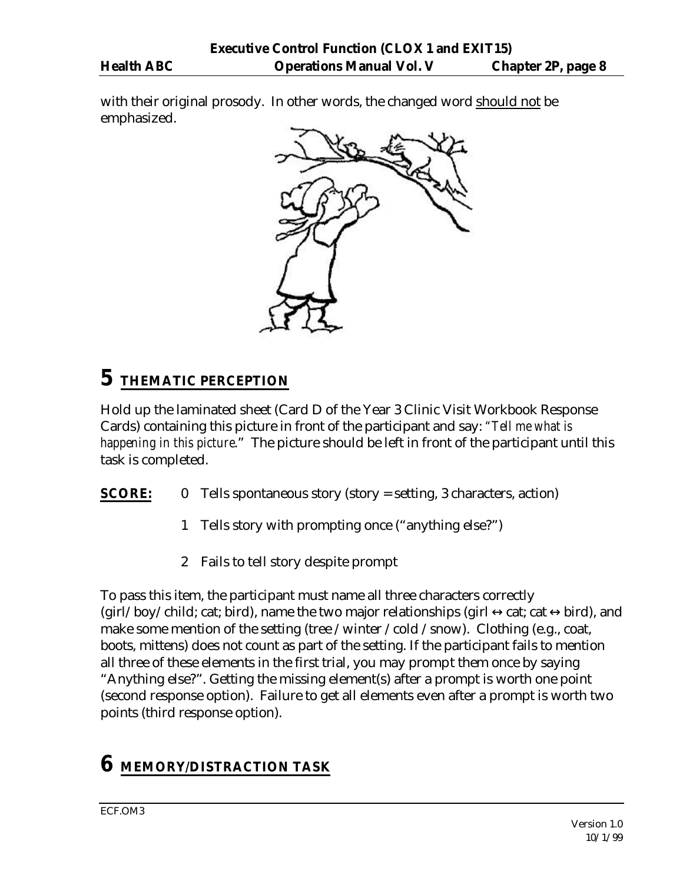with their original prosody. In other words, the changed word should not be emphasized.



## **5 THEMATIC PERCEPTION**

Hold up the laminated sheet (Card D of the Year 3 Clinic Visit Workbook Response Cards) containing this picture in front of the participant and say: *"Tell me what is happening in this picture*." The picture should be left in front of the participant until this task is completed.

- **SCORE:** 0 Tells spontaneous story (story = setting, 3 characters, action)
	- 1 Tells story with prompting once ("anything else?")
	- 2 Fails to tell story despite prompt

To pass this item, the participant must name all three characters correctly (girl/boy/child; cat; bird), name the two major relationships (girl  $\leftrightarrow$ cat; cat  $\leftrightarrow$ bird), and make some mention of the setting (tree /winter /cold /snow). Clothing (e.g., coat, boots, mittens) does not count as part of the setting. If the participant fails to mention all three of these elements in the first trial, you may prompt them once by saying "Anything else?". Getting the missing element(s) after a prompt is worth one point (second response option). Failure to get all elements even after a prompt is worth two points (third response option).

# **6 MEMORY/DISTRACTION TASK**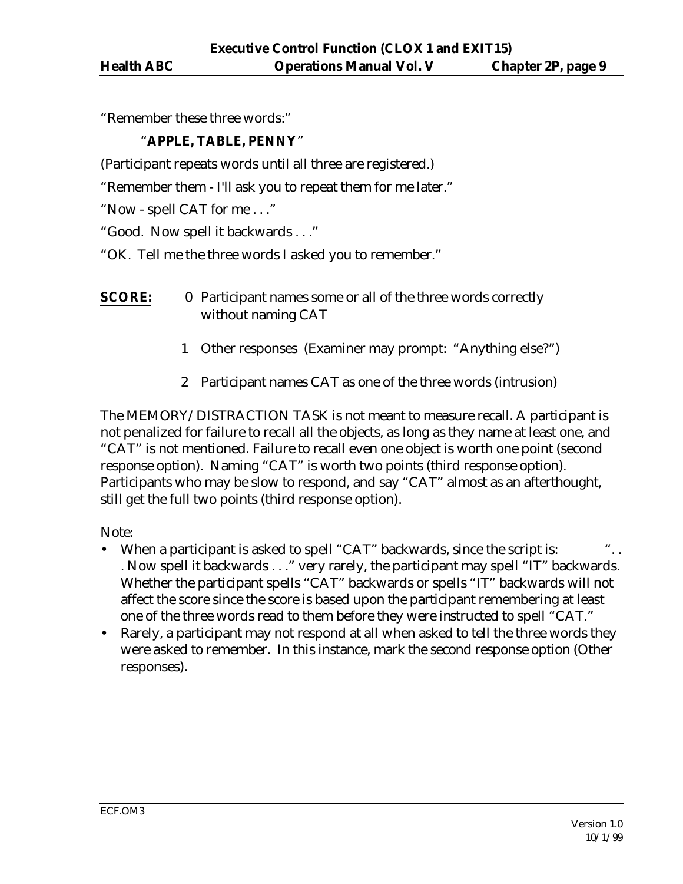"Remember these three words:"

#### "**APPLE, TABLE, PENNY**"

(Participant repeats words until all three are registered.)

"Remember them - I'll ask you to repeat them for me later."

"Now - spell CAT for me . . ."

"Good. Now spell it backwards . . ."

"OK. Tell me the three words I asked you to remember."

- **SCORE:** 0 Participant names some or all of the three words correctly without naming CAT
	- 1 Other responses (Examiner may prompt: "Anything else?")
	- 2 Participant names CAT as one of the three words (intrusion)

The MEMORY/DISTRACTION TASK is not meant to measure recall. A participant is not penalized for failure to recall all the objects, as long as they name at least one, and "CAT" is not mentioned. Failure to recall even one object is worth one point (second response option). Naming "CAT" is worth two points (third response option). Participants who may be slow to respond, and say "CAT" almost as an afterthought, still get the full two points (third response option).

Note:

- When a participant is asked to spell "CAT" backwards, since the script is: . Now spell it backwards . . ." very rarely, the participant may spell "IT" backwards. Whether the participant spells "CAT" backwards or spells "IT" backwards will not affect the score since the score is based upon the participant remembering at least one of the three words read to them before they were instructed to spell "CAT."
- Rarely, a participant may not respond at all when asked to tell the three words they were asked to remember. In this instance, mark the second response option (Other responses).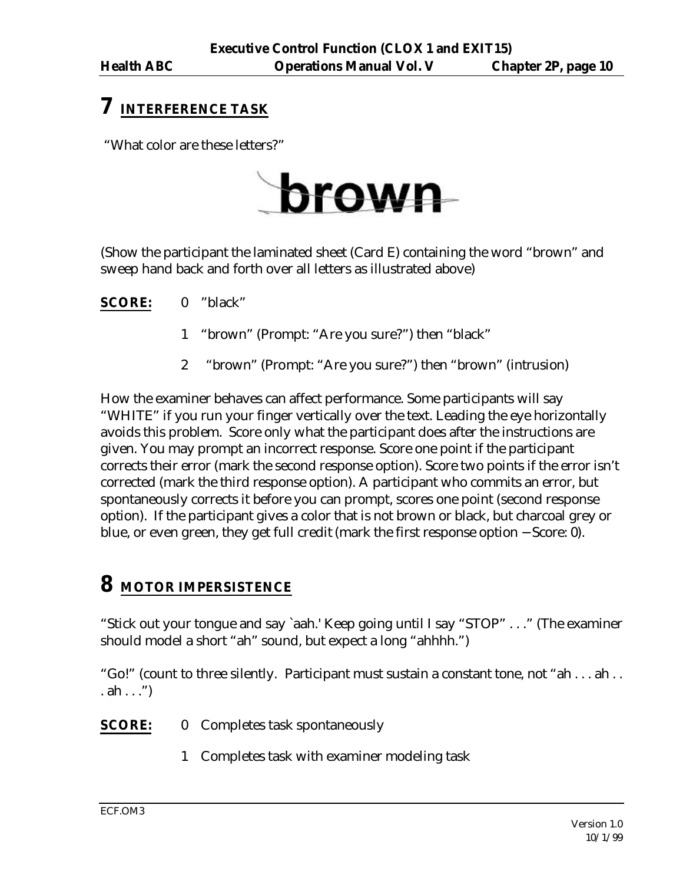## **7 INTERFERENCE TASK**

"What color are these letters?"



(Show the participant the laminated sheet (Card E) containing the word "brown" and sweep hand back and forth over all letters as illustrated above)

**SCORE:** 0 "black"

- 1 "brown" (Prompt: "Are you sure?") then "black"
- 2 "brown" (Prompt: "Are you sure?") then "brown" (intrusion)

How the examiner behaves can affect performance. Some participants will say "WHITE" if you run your finger vertically over the text. Leading the eye horizontally avoids this problem. Score only what the participant does after the instructions are given. You may prompt an incorrect response. Score one point if the participant corrects their error (mark the second response option). Score two points if the error isn't corrected (mark the third response option). A participant who commits an error, but spontaneously corrects it before you can prompt, scores one point (second response option). If the participant gives a color that is not brown or black, but charcoal grey or blue, or even green, they get full credit (mark the first response option − Score: 0).

## **8 MOTOR IMPERSISTENCE**

"Stick out your tongue and say `aah.' Keep going until I say "STOP" . . ." (The examiner should model a short "ah" sound, but expect a long "ahhhh.")

"Go!" (count to three silently. Participant must sustain a constant tone, not "ah . . . ah . . . ah  $\ldots$ ")

#### **SCORE:** 0 Completes task spontaneously

1 Completes task with examiner modeling task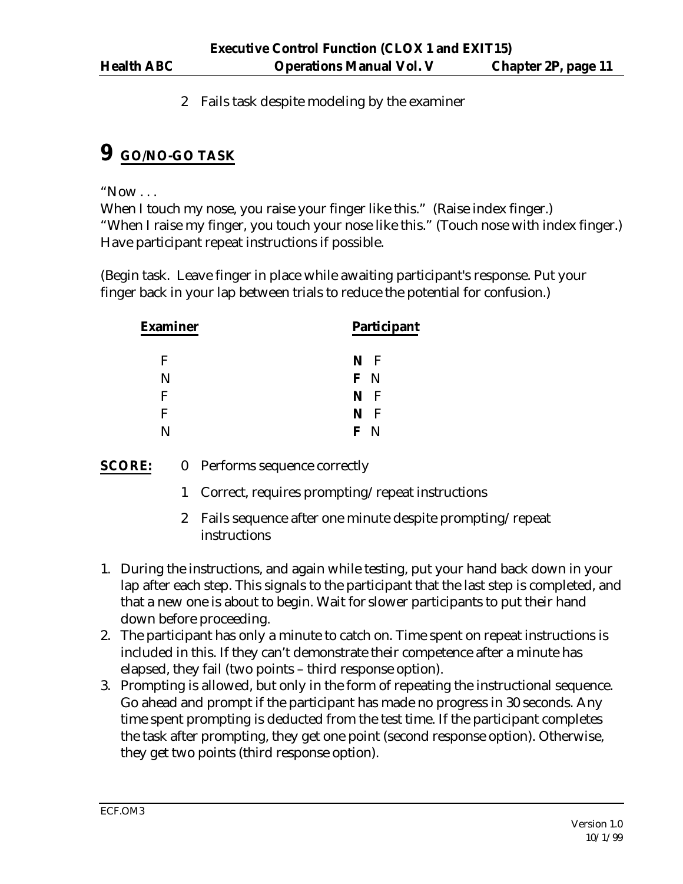2 Fails task despite modeling by the examiner

## **9 GO/NO-GO TASK**

" $Now...$ 

When I touch my nose, you raise your finger like this." (Raise index finger.) "When I raise my finger, you touch your nose like this." (Touch nose with index finger.) Have participant repeat instructions if possible.

(Begin task. Leave finger in place while awaiting participant's response. Put your finger back in your lap between trials to reduce the potential for confusion.)

| <b>Examiner</b> | <b>Participant</b> |
|-----------------|--------------------|
| F               | N F                |
| N               | F N                |
| F               | N F                |
| F               | N F                |
|                 | F                  |

**SCORE:** 0 Performs sequence correctly

- 1 Correct, requires prompting/repeat instructions
- 2 Fails sequence after one minute despite prompting/repeat instructions
- 1. During the instructions, and again while testing, put your hand back down in your lap after each step. This signals to the participant that the last step is completed, and that a new one is about to begin. Wait for slower participants to put their hand down before proceeding.
- 2. The participant has only a minute to catch on. Time spent on repeat instructions is included in this. If they can't demonstrate their competence after a minute has elapsed, they fail (two points – third response option).
- 3. Prompting is allowed, but only in the form of repeating the instructional sequence. Go ahead and prompt if the participant has made no progress in 30 seconds. Any time spent prompting is deducted from the test time. If the participant completes the task after prompting, they get one point (second response option). Otherwise, they get two points (third response option).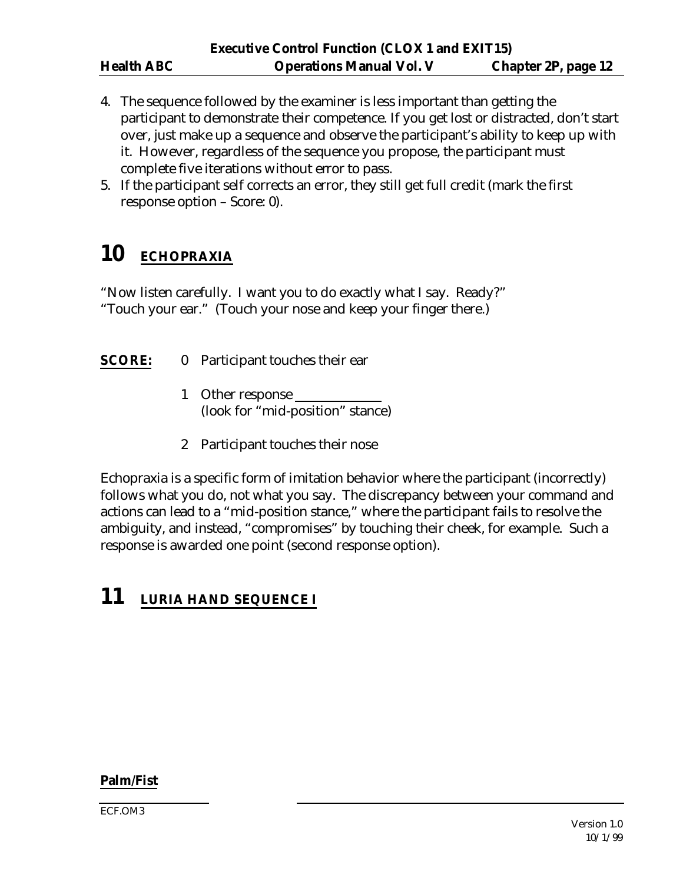- 4. The sequence followed by the examiner is less important than getting the participant to demonstrate their competence. If you get lost or distracted, don't start over, just make up a sequence and observe the participant's ability to keep up with it. However, regardless of the sequence you propose, the participant must complete five iterations without error to pass.
- 5. If the participant self corrects an error, they still get full credit (mark the first response option – Score: 0).

# **10 ECHOPRAXIA**

"Now listen carefully. I want you to do exactly what I say. Ready?" "Touch your ear." (Touch your nose and keep your finger there.)

## **SCORE:** 0 Participant touches their ear

- 1 Other response (look for "mid-position" stance)
- 2 Participant touches their nose

Echopraxia is a specific form of imitation behavior where the participant (incorrectly) follows what you do, not what you say. The discrepancy between your command and actions can lead to a "mid-position stance," where the participant fails to resolve the ambiguity, and instead, "compromises" by touching their cheek, for example. Such a response is awarded one point (second response option).

## **11 LURIA HAND SEQUENCE I**

#### **Palm/Fist**

ECF.OM3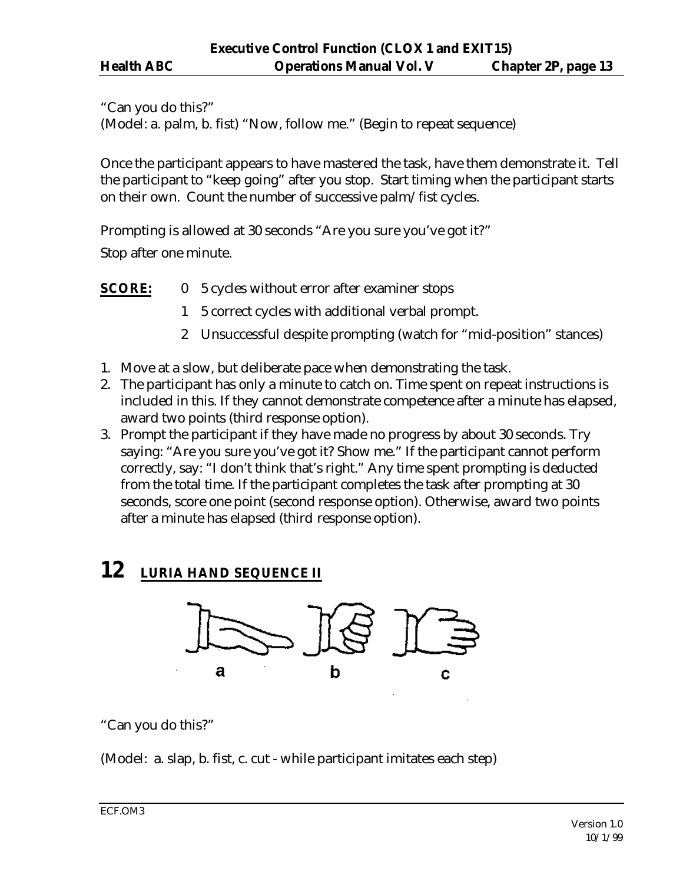"Can you do this?"

(Model: a. palm, b. fist) "Now, follow me." (Begin to repeat sequence)

Once the participant appears to have mastered the task, have them demonstrate it. Tell the participant to "keep going" after you stop. Start timing when the participant starts on their own. Count the number of successive palm/fist cycles.

Prompting is allowed at 30 seconds "Are you sure you've got it?"

Stop after one minute.

**SCORE:** 0 5 cycles without error after examiner stops

- 1 5 correct cycles with additional verbal prompt.
- 2 Unsuccessful despite prompting (watch for "mid-position" stances)
- 1. Move at a slow, but deliberate pace when demonstrating the task.
- 2. The participant has only a minute to catch on. Time spent on repeat instructions is included in this. If they cannot demonstrate competence after a minute has elapsed, award two points (third response option).
- 3. Prompt the participant if they have made no progress by about 30 seconds. Try saying: "Are you sure you've got it? Show me." If the participant cannot perform correctly, say: "I don't think that's right." Any time spent prompting is deducted from the total time. If the participant completes the task after prompting at 30 seconds, score one point (second response option). Otherwise, award two points after a minute has elapsed (third response option).

## **12 LURIA HAND SEQUENCE II**



"Can you do this?"

(Model: a. slap, b. fist, c. cut - while participant imitates each step)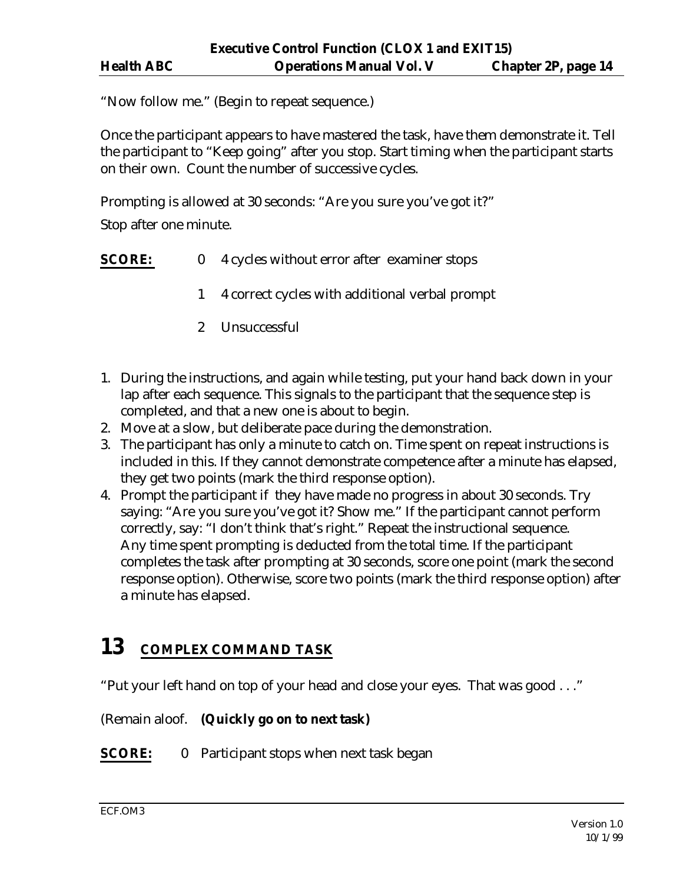"Now follow me." (Begin to repeat sequence.)

Once the participant appears to have mastered the task, have them demonstrate it. Tell the participant to "Keep going" after you stop. Start timing when the participant starts on their own. Count the number of successive cycles.

Prompting is allowed at 30 seconds: "Are you sure you've got it?"

Stop after one minute.

- **SCORE:** 0 4 cycles without error after examiner stops
	- 1 4 correct cycles with additional verbal prompt
	- 2 Unsuccessful
- 1. During the instructions, and again while testing, put your hand back down in your lap after each sequence. This signals to the participant that the sequence step is completed, and that a new one is about to begin.
- 2. Move at a slow, but deliberate pace during the demonstration.
- 3. The participant has only a minute to catch on. Time spent on repeat instructions is included in this. If they cannot demonstrate competence after a minute has elapsed, they get two points (mark the third response option).
- 4. Prompt the participant if they have made no progress in about 30 seconds. Try saying: "Are you sure you've got it? Show me." If the participant cannot perform correctly, say: "I don't think that's right." Repeat the instructional sequence. Any time spent prompting is deducted from the total time. If the participant completes the task after prompting at 30 seconds, score one point (mark the second response option). Otherwise, score two points (mark the third response option) after a minute has elapsed.

# **13 COMPLEX COMMAND TASK**

"Put your left hand on top of your head and close your eyes. That was good . . ."

(Remain aloof. **(Quickly go on to next task)**

**SCORE:** 0 Participant stops when next task began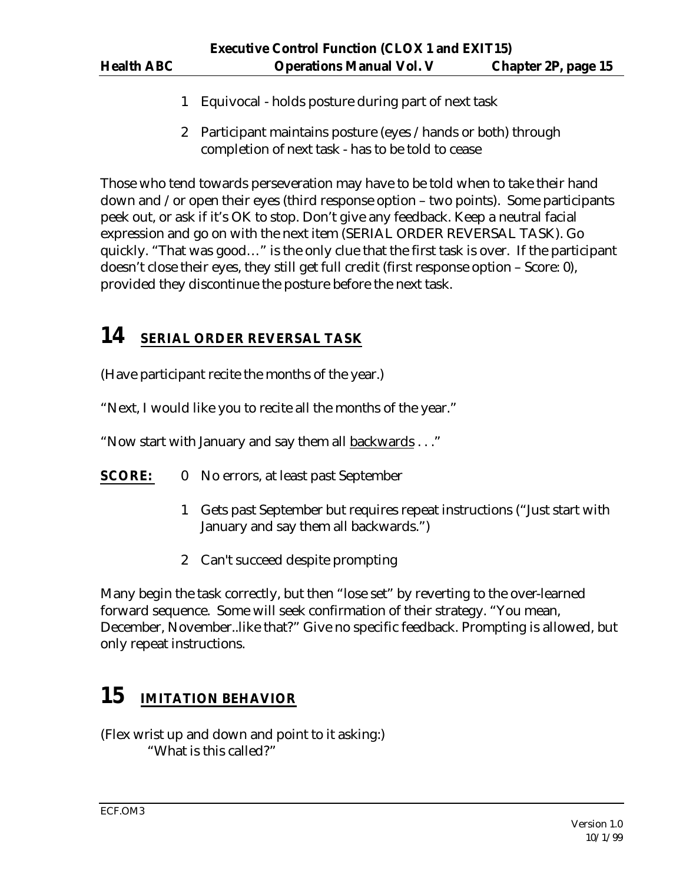- 1 Equivocal holds posture during part of next task
- 2 Participant maintains posture (eyes /hands or both) through completion of next task - has to be told to cease

Those who tend towards perseveration may have to be told when to take their hand down and /or open their eyes (third response option – two points). Some participants peek out, or ask if it's OK to stop. Don't give any feedback. Keep a neutral facial expression and go on with the next item (SERIAL ORDER REVERSAL TASK). Go quickly. "That was good…" is the only clue that the first task is over. If the participant doesn't close their eyes, they still get full credit (first response option – Score: 0), provided they discontinue the posture before the next task.

## **14 SERIAL ORDER REVERSAL TASK**

(Have participant recite the months of the year.)

"Next, I would like you to recite all the months of the year."

"Now start with January and say them all backwards . . ."

- **SCORE:** 0 No errors, at least past September
	- 1 Gets past September but requires repeat instructions ("Just start with January and say them all backwards.")
	- 2 Can't succeed despite prompting

Many begin the task correctly, but then "lose set" by reverting to the over-learned forward sequence. Some will seek confirmation of their strategy. "You mean, December, November..like that?" Give no specific feedback. Prompting is allowed, but only repeat instructions.

# **15 IMITATION BEHAVIOR**

(Flex wrist up and down and point to it asking:) "What is this called?"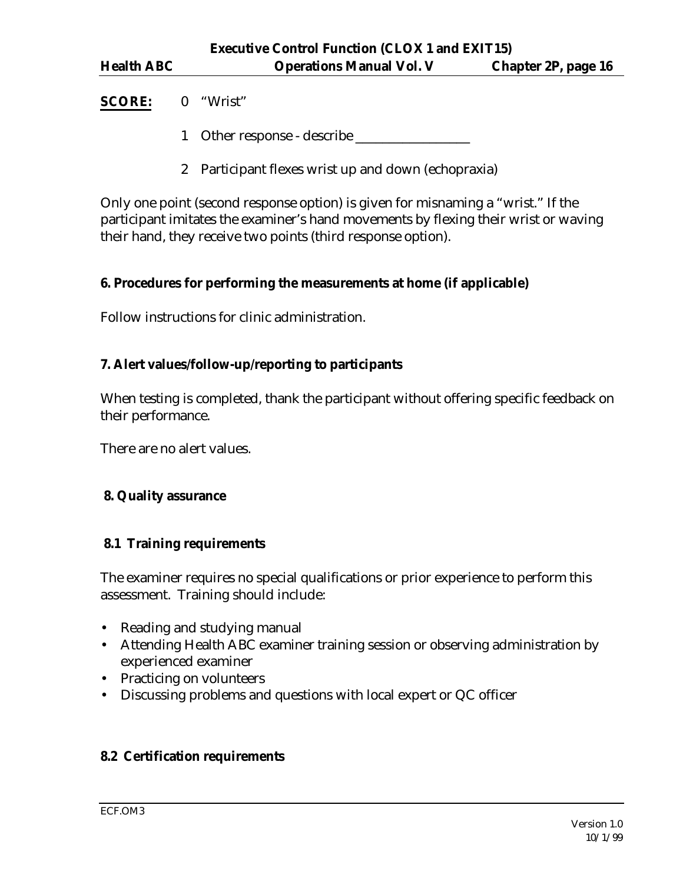## **SCORE:** 0 "Wrist"

- 1 Other response describe
- 2 Participant flexes wrist up and down (echopraxia)

Only one point (second response option) is given for misnaming a "wrist." If the participant imitates the examiner's hand movements by flexing their wrist or waving their hand, they receive two points (third response option).

## **6. Procedures for performing the measurements at home (if applicable)**

Follow instructions for clinic administration.

## **7. Alert values/follow-up/reporting to participants**

When testing is completed, thank the participant without offering specific feedback on their performance.

There are no alert values.

## **8. Quality assurance**

## **8.1 Training requirements**

The examiner requires no special qualifications or prior experience to perform this assessment. Training should include:

- Reading and studying manual
- Attending Health ABC examiner training session or observing administration by experienced examiner
- Practicing on volunteers
- Discussing problems and questions with local expert or QC officer

## **8.2 Certification requirements**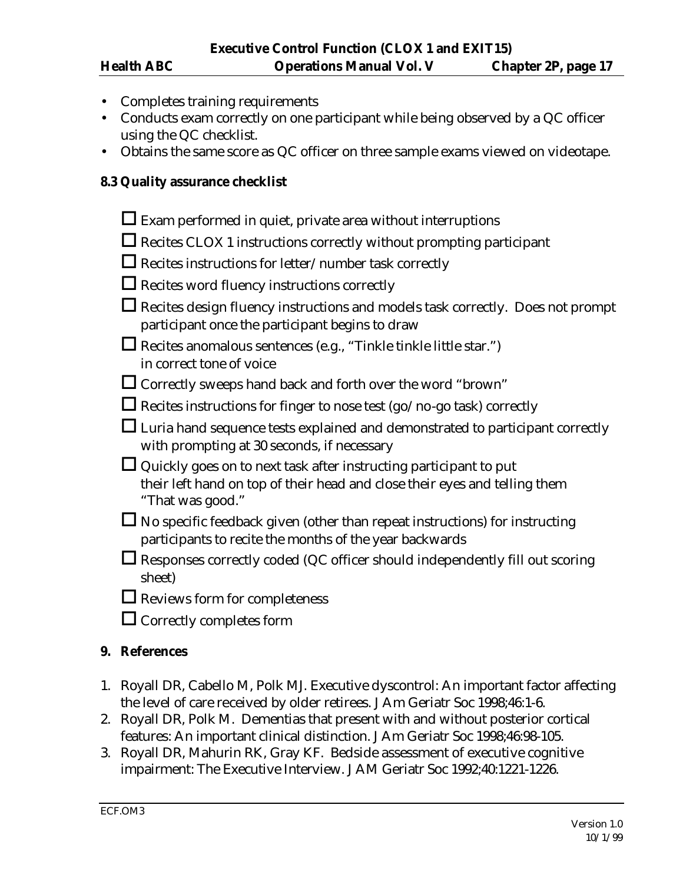- Completes training requirements
- Conducts exam correctly on one participant while being observed by a QC officer using the QC checklist.
- Obtains the same score as QC officer on three sample exams viewed on videotape.

#### **8.3 Quality assurance checklist**

| $\Box$ Exam performed in quiet, private area without interruptions                                                                                                         |
|----------------------------------------------------------------------------------------------------------------------------------------------------------------------------|
| $\Box$ Recites CLOX 1 instructions correctly without prompting participant                                                                                                 |
| $\Box$ Recites instructions for letter/number task correctly                                                                                                               |
| $\Box$ Recites word fluency instructions correctly                                                                                                                         |
| $\Box$ Recites design fluency instructions and models task correctly. Does not prompt<br>participant once the participant begins to draw                                   |
| Eures anomalous sentences (e.g., "Tinkle tinkle little star.")<br>in correct tone of voice                                                                                 |
| $\Box$ Correctly sweeps hand back and forth over the word "brown"                                                                                                          |
| $\Box$ Recites instructions for finger to nose test (go/no-go task) correctly                                                                                              |
| $\Box$ Luria hand sequence tests explained and demonstrated to participant correctly<br>with prompting at 30 seconds, if necessary                                         |
| $\Box$ Quickly goes on to next task after instructing participant to put<br>their left hand on top of their head and close their eyes and telling them<br>"That was good." |
| $\Box$ No specific feedback given (other than repeat instructions) for instructing<br>participants to recite the months of the year backwards                              |
| $\Box$ Responses correctly coded (QC officer should independently fill out scoring<br>sheet)                                                                               |
| $\Box$ Reviews form for completeness                                                                                                                                       |
| $\Box$ Correctly completes form                                                                                                                                            |

#### **9. References**

- 1. Royall DR, Cabello M, Polk MJ. Executive dyscontrol: An important factor affecting the level of care received by older retirees. J Am Geriatr Soc 1998;46:1-6.
- 2. Royall DR, Polk M. Dementias that present with and without posterior cortical features: An important clinical distinction. J Am Geriatr Soc 1998;46:98-105.
- 3. Royall DR, Mahurin RK, Gray KF. Bedside assessment of executive cognitive impairment: The Executive Interview. J AM Geriatr Soc 1992;40:1221-1226.